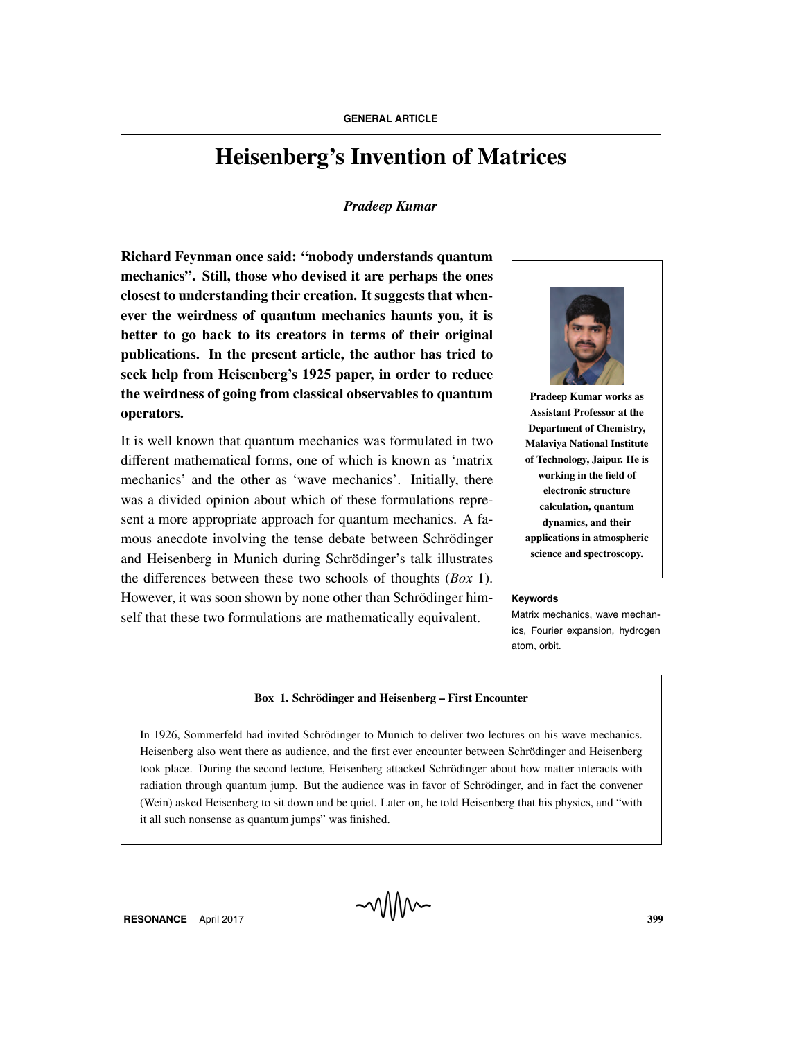# **Heisenberg's Invention of Matrices**

# *Pradeep Kumar*

**Richard Feynman once said: "nobody understands quantum mechanics". Still, those who devised it are perhaps the ones closest to understanding their creation. It suggests that whenever the weirdness of quantum mechanics haunts you, it is better to go back to its creators in terms of their original publications. In the present article, the author has tried to seek help from Heisenberg's 1925 paper, in order to reduce the weirdness of going from classical observables to quantum operators.**

It is well known that quantum mechanics was formulated in two different mathematical forms, one of which is known as 'matrix mechanics' and the other as 'wave mechanics'. Initially, there was a divided opinion about which of these formulations represent a more appropriate approach for quantum mechanics. A famous anecdote involving the tense debate between Schrödinger and Heisenberg in Munich during Schrödinger's talk illustrates the differences between these two schools of thoughts (*Box* 1). However, it was soon shown by none other than Schrödinger him-<br>Keywords self that these two formulations are mathematically equivalent.



**Pradeep Kumar works as Assistant Professor at the Department of Chemistry, Malaviya National Institute of Technology, Jaipur. He is working in the field of electronic structure calculation, quantum dynamics, and their applications in atmospheric science and spectroscopy.**

Matrix mechanics, wave mechanics, Fourier expansion, hydrogen atom, orbit.

#### **Box 1. Schrödinger and Heisenberg – First Encounter**

In 1926, Sommerfeld had invited Schrödinger to Munich to deliver two lectures on his wave mechanics. Heisenberg also went there as audience, and the first ever encounter between Schrödinger and Heisenberg took place. During the second lecture, Heisenberg attacked Schrödinger about how matter interacts with radiation through quantum jump. But the audience was in favor of Schrödinger, and in fact the convener (Wein) asked Heisenberg to sit down and be quiet. Later on, he told Heisenberg that his physics, and "with it all such nonsense as quantum jumps" was finished.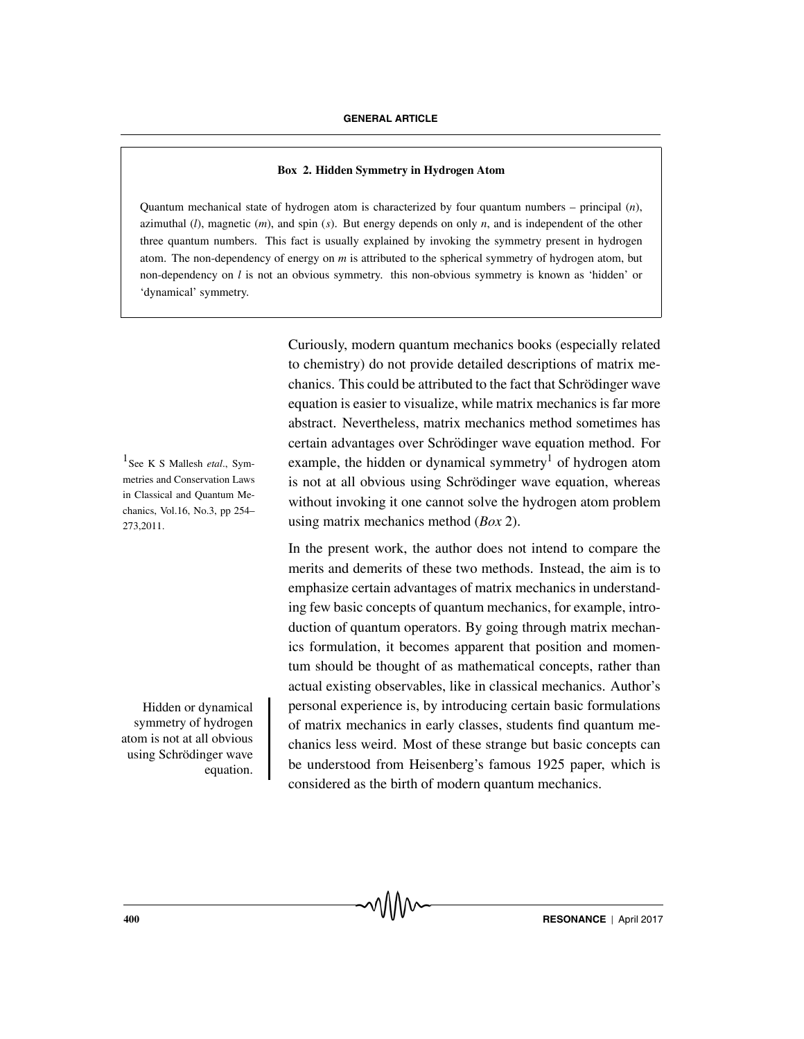### **Box 2. Hidden Symmetry in Hydrogen Atom**

Quantum mechanical state of hydrogen atom is characterized by four quantum numbers – principal (*n*), azimuthal  $(l)$ , magnetic  $(m)$ , and spin  $(s)$ . But energy depends on only  $n$ , and is independent of the other three quantum numbers. This fact is usually explained by invoking the symmetry present in hydrogen atom. The non-dependency of energy on *m* is attributed to the spherical symmetry of hydrogen atom, but non-dependency on *l* is not an obvious symmetry. this non-obvious symmetry is known as 'hidden' or 'dynamical' symmetry.

Curiously, modern quantum mechanics books (especially related to chemistry) do not provide detailed descriptions of matrix mechanics. This could be attributed to the fact that Schrodinger wave ¨ equation is easier to visualize, while matrix mechanics is far more abstract. Nevertheless, matrix mechanics method sometimes has certain advantages over Schrodinger wave equation method. For ¨ <sup>1</sup> See K S Mallesh *etal.*, Sym- example, the hidden or dynamical symmetry<sup>1</sup> of hydrogen atom is not at all obvious using Schrödinger wave equation, whereas without invoking it one cannot solve the hydrogen atom problem using matrix mechanics method (*Box* 2).

> In the present work, the author does not intend to compare the merits and demerits of these two methods. Instead, the aim is to emphasize certain advantages of matrix mechanics in understanding few basic concepts of quantum mechanics, for example, introduction of quantum operators. By going through matrix mechanics formulation, it becomes apparent that position and momentum should be thought of as mathematical concepts, rather than actual existing observables, like in classical mechanics. Author's personal experience is, by introducing certain basic formulations of matrix mechanics in early classes, students find quantum mechanics less weird. Most of these strange but basic concepts can be understood from Heisenberg's famous 1925 paper, which is considered as the birth of modern quantum mechanics.

metries and Conservation Laws in Classical and Quantum Mechanics, Vol.16, No.3, pp 254– 273,2011.

Hidden or dynamical symmetry of hydrogen atom is not at all obvious using Schrödinger wave equation.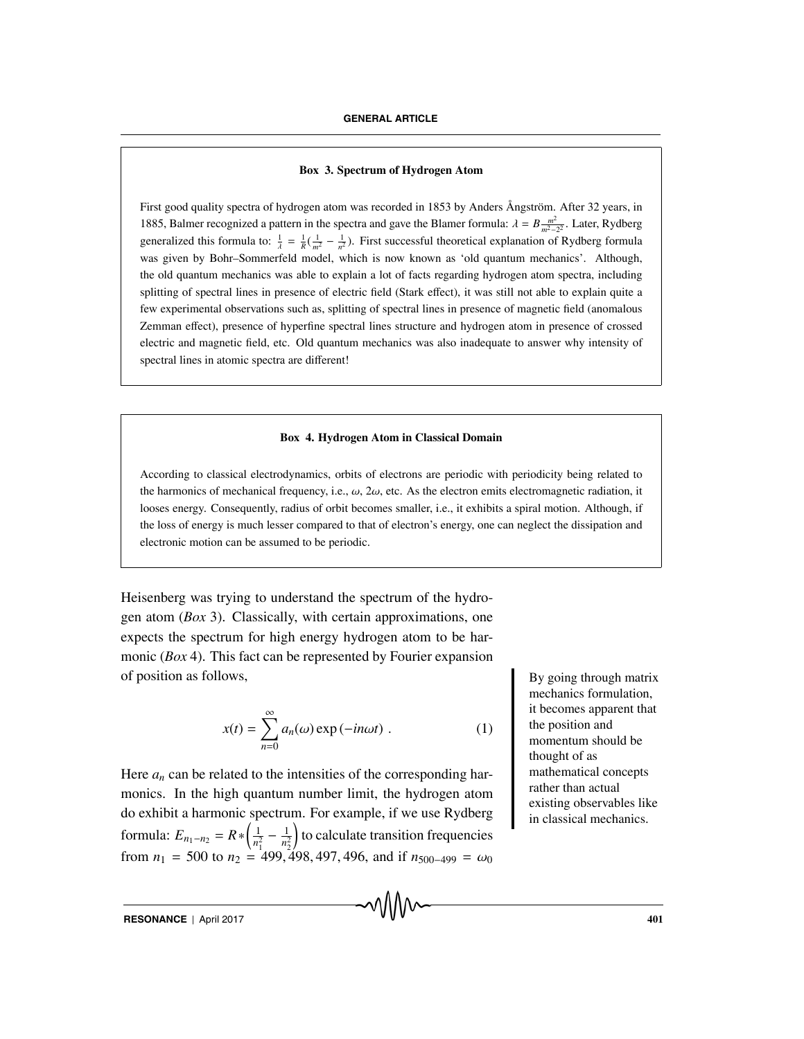#### **Box 3. Spectrum of Hydrogen Atom**

First good quality spectra of hydrogen atom was recorded in 1853 by Anders Ångström. After 32 years, in 1885, Balmer recognized a pattern in the spectra and gave the Blamer formula:  $\lambda = B \frac{m^2}{m^2-2^2}$ . Later, Rydberg generalized this formula to:  $\frac{1}{\lambda} = \frac{1}{R}(\frac{1}{m^2} - \frac{1}{n^2})$ . First successful theoretical explanation of Rydberg formula was given by Bohr–Sommerfeld model, which is now known as 'old quantum mechanics'. Although, the old quantum mechanics was able to explain a lot of facts regarding hydrogen atom spectra, including splitting of spectral lines in presence of electric field (Stark effect), it was still not able to explain quite a few experimental observations such as, splitting of spectral lines in presence of magnetic field (anomalous Zemman effect), presence of hyperfine spectral lines structure and hydrogen atom in presence of crossed electric and magnetic field, etc. Old quantum mechanics was also inadequate to answer why intensity of spectral lines in atomic spectra are different!

#### **Box 4. Hydrogen Atom in Classical Domain**

According to classical electrodynamics, orbits of electrons are periodic with periodicity being related to the harmonics of mechanical frequency, i.e.,  $\omega$ ,  $2\omega$ , etc. As the electron emits electromagnetic radiation, it looses energy. Consequently, radius of orbit becomes smaller, i.e., it exhibits a spiral motion. Although, if the loss of energy is much lesser compared to that of electron's energy, one can neglect the dissipation and electronic motion can be assumed to be periodic.

Heisenberg was trying to understand the spectrum of the hydrogen atom (*Box* 3). Classically, with certain approximations, one expects the spectrum for high energy hydrogen atom to be harmonic (*Box* 4). This fact can be represented by Fourier expansion of position as follows, By going through matrix

$$
x(t) = \sum_{n=0}^{\infty} a_n(\omega) \exp(-in\omega t) . \qquad (1)
$$

Here  $a_n$  can be related to the intensities of the corresponding harmonics. In the high quantum number limit, the hydrogen atom do exhibit a harmonic spectrum. For example, if we use Rydberg formula:  $E_{n_1-n_2} = R * \left(\frac{1}{n_1^2}\right)$  $\frac{1}{n_1^2} - \frac{1}{n_2^2}$  to calculate transition frequencies from  $n_1$  = 500 to  $n_2$  = 499, 498, 497, 496, and if  $n_{500-499} = \omega_0$ 

mechanics formulation, it becomes apparent that the position and momentum should be thought of as mathematical concepts rather than actual existing observables like in classical mechanics.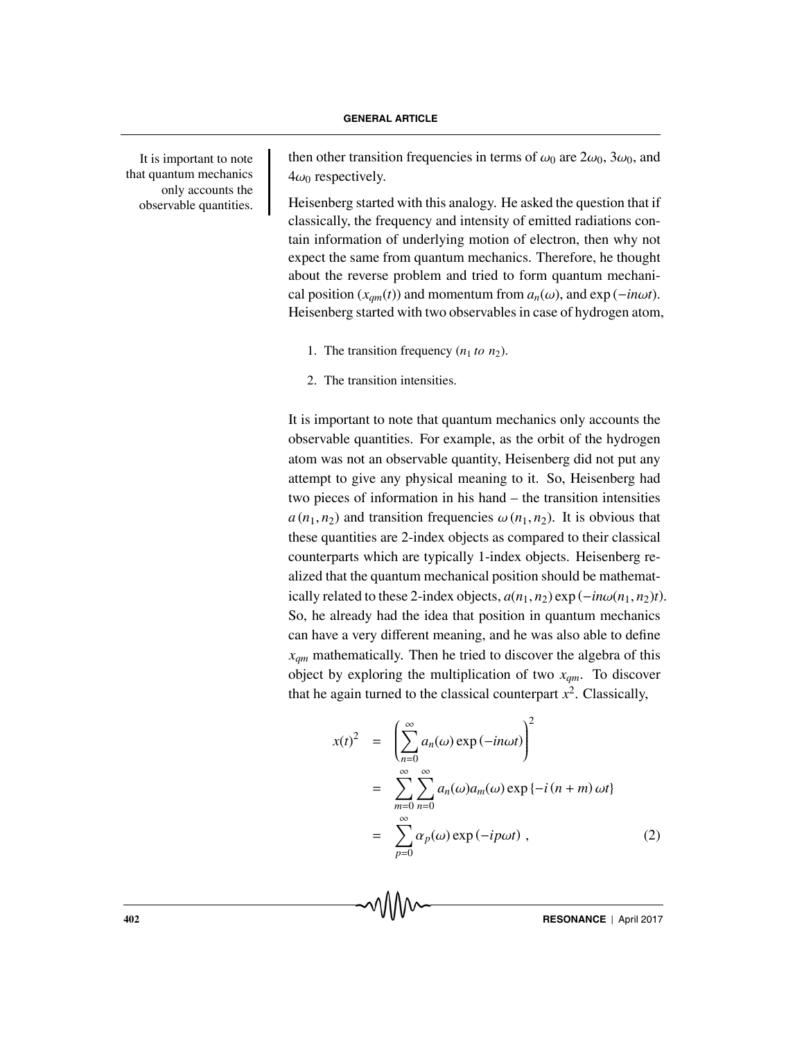that quantum mechanics only accounts the observable quantities.

It is important to note then other transition frequencies in terms of  $\omega_0$  are  $2\omega_0$ ,  $3\omega_0$ , and  $4\omega_0$  respectively.

> Heisenberg started with this analogy. He asked the question that if classically, the frequency and intensity of emitted radiations contain information of underlying motion of electron, then why not expect the same from quantum mechanics. Therefore, he thought about the reverse problem and tried to form quantum mechanical position ( $x_{am}(t)$ ) and momentum from  $a_n(\omega)$ , and exp (−*inωt*). Heisenberg started with two observables in case of hydrogen atom,

- 1. The transition frequency  $(n_1 \text{ to } n_2)$ .
- 2. The transition intensities.

It is important to note that quantum mechanics only accounts the observable quantities. For example, as the orbit of the hydrogen atom was not an observable quantity, Heisenberg did not put any attempt to give any physical meaning to it. So, Heisenberg had two pieces of information in his hand – the transition intensities  $a(n_1, n_2)$  and transition frequencies  $\omega(n_1, n_2)$ . It is obvious that these quantities are 2-index objects as compared to their classical counterparts which are typically 1-index objects. Heisenberg realized that the quantum mechanical position should be mathematically related to these 2-index objects,  $a(n_1, n_2)$  exp ( $-i n \omega(n_1, n_2) t$ ). So, he already had the idea that position in quantum mechanics can have a very different meaning, and he was also able to define *xqm* mathematically. Then he tried to discover the algebra of this object by exploring the multiplication of two  $x_{qm}$ . To discover that he again turned to the classical counterpart  $x^2$ . Classically,

$$
x(t)^{2} = \left(\sum_{n=0}^{\infty} a_{n}(\omega) \exp(-in\omega t)\right)^{2}
$$
  
= 
$$
\sum_{m=0}^{\infty} \sum_{n=0}^{\infty} a_{n}(\omega) a_{m}(\omega) \exp\{-i(n+m)\omega t\}
$$
  
= 
$$
\sum_{p=0}^{\infty} \alpha_{p}(\omega) \exp(-ip\omega t),
$$
 (2)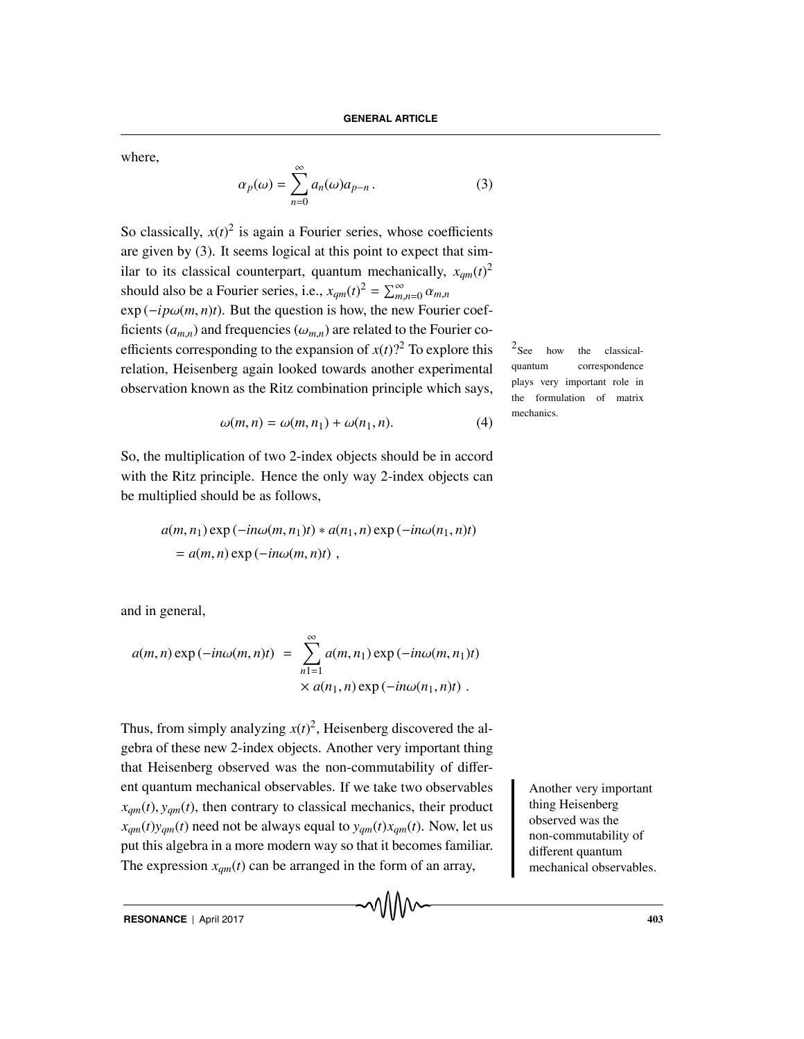where,

$$
\alpha_p(\omega) = \sum_{n=0}^{\infty} a_n(\omega) a_{p-n} . \tag{3}
$$

So classically,  $x(t)^2$  is again a Fourier series, whose coefficients are given by (3). It seems logical at this point to expect that similar to its classical counterpart, quantum mechanically,  $x_{qm}(t)^2$ should also be a Fourier series, i.e.,  $x_{qm}(t)^2 = \sum_{m,n=0}^{\infty} \alpha_{m,n}$ 

 $\exp(-ip\omega(m,n)t)$ . But the question is how, the new Fourier coefficients  $(a_{m,n})$  and frequencies  $(\omega_{m,n})$  are related to the Fourier coefficients corresponding to the expansion of  $x(t)$ ? To explore this <sup>2</sup>See how the classicalrelation, Heisenberg again looked towards another experimental observation known as the Ritz combination principle which says,

$$
\omega(m,n) = \omega(m,n_1) + \omega(n_1,n). \tag{4}
$$

So, the multiplication of two 2-index objects should be in accord with the Ritz principle. Hence the only way 2-index objects can be multiplied should be as follows,

$$
a(m, n_1) \exp(-in\omega(m, n_1)t) * a(n_1, n) \exp(-in\omega(n_1, n)t)
$$
  
=  $a(m, n) \exp(-in\omega(m, n)t)$ ,

and in general,

$$
a(m, n) \exp(-in\omega(m, n)t) = \sum_{n=1}^{\infty} a(m, n_1) \exp(-in\omega(m, n_1)t)
$$
  
 
$$
\times a(n_1, n) \exp(-in\omega(n_1, n)t).
$$

Thus, from simply analyzing  $x(t)^2$ , Heisenberg discovered the algebra of these new 2-index objects. Another very important thing that Heisenberg observed was the non-commutability of different quantum mechanical observables. If we take two observables Another very important  $x_{\text{cm}}(t)$ ,  $y_{\text{cm}}(t)$ , then contrary to classical mechanics, their product  $x_{qm}(t)y_{qm}(t)$  need not be always equal to  $y_{qm}(t)x_{qm}(t)$ . Now, let us put this algebra in a more modern way so that it becomes familiar. The expression  $x_{qm}(t)$  can be arranged in the form of an array,

thing Heisenberg observed was the non-commutability of different quantum mechanical observables.

quantum correspondence plays very important role in the formulation of matrix mechanics.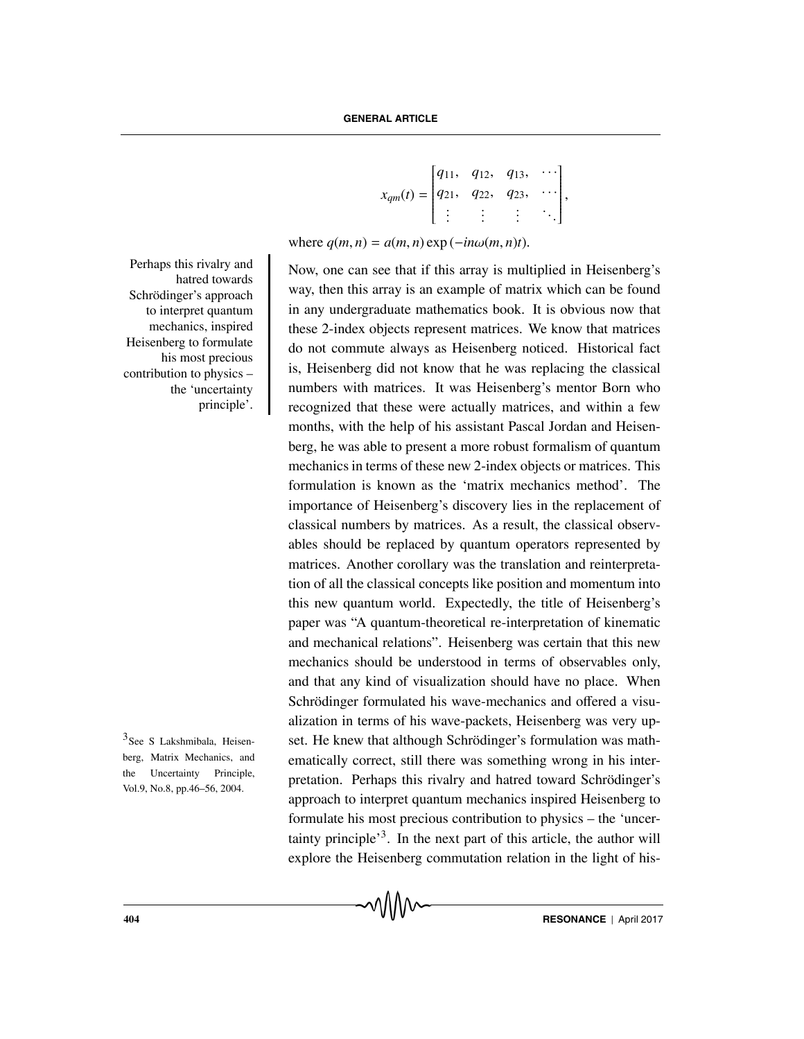$$
x_{qm}(t) = \begin{bmatrix} q_{11}, & q_{12}, & q_{13}, & \cdots \\ q_{21}, & q_{22}, & q_{23}, & \cdots \\ \vdots & \vdots & \vdots & \ddots \end{bmatrix},
$$

where  $q(m, n) = a(m, n) \exp(-in\omega(m, n)t)$ .

Now, one can see that if this array is multiplied in Heisenberg's way, then this array is an example of matrix which can be found in any undergraduate mathematics book. It is obvious now that these 2-index objects represent matrices. We know that matrices do not commute always as Heisenberg noticed. Historical fact is, Heisenberg did not know that he was replacing the classical numbers with matrices. It was Heisenberg's mentor Born who recognized that these were actually matrices, and within a few months, with the help of his assistant Pascal Jordan and Heisenberg, he was able to present a more robust formalism of quantum mechanics in terms of these new 2-index objects or matrices. This formulation is known as the 'matrix mechanics method'. The importance of Heisenberg's discovery lies in the replacement of classical numbers by matrices. As a result, the classical observables should be replaced by quantum operators represented by matrices. Another corollary was the translation and reinterpretation of all the classical concepts like position and momentum into this new quantum world. Expectedly, the title of Heisenberg's paper was "A quantum-theoretical re-interpretation of kinematic and mechanical relations". Heisenberg was certain that this new mechanics should be understood in terms of observables only, and that any kind of visualization should have no place. When Schrödinger formulated his wave-mechanics and offered a visualization in terms of his wave-packets, Heisenberg was very up- $3$ See S Lakshmibala, Heisen-set. He knew that although Schrödinger's formulation was mathematically correct, still there was something wrong in his interpretation. Perhaps this rivalry and hatred toward Schrödinger's approach to interpret quantum mechanics inspired Heisenberg to formulate his most precious contribution to physics – the 'uncertainty principle<sup>3</sup>. In the next part of this article, the author will explore the Heisenberg commutation relation in the light of his-

Perhaps this rivalry and hatred towards Schrödinger's approach to interpret quantum mechanics, inspired Heisenberg to formulate his most precious contribution to physics – the 'uncertainty principle'.

berg, Matrix Mechanics, and the Uncertainty Principle, Vol.9, No.8, pp.46–56, 2004.